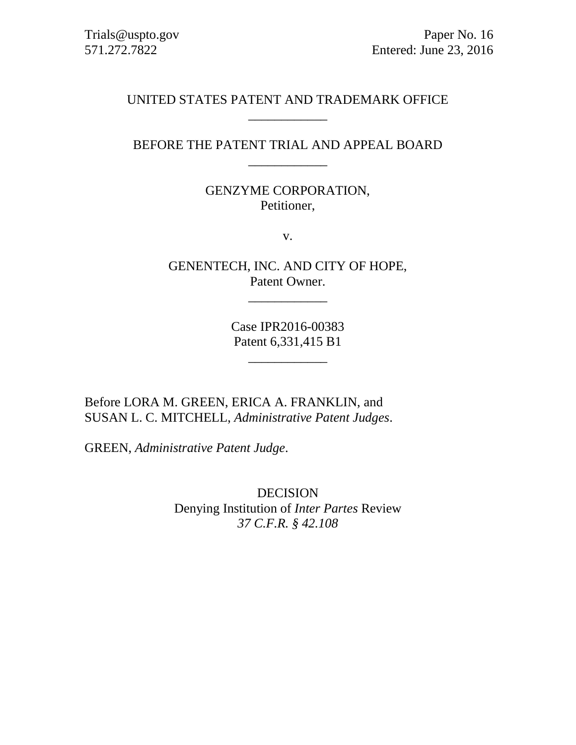# UNITED STATES PATENT AND TRADEMARK OFFICE \_\_\_\_\_\_\_\_\_\_\_\_

# BEFORE THE PATENT TRIAL AND APPEAL BOARD \_\_\_\_\_\_\_\_\_\_\_\_

# GENZYME CORPORATION, Petitioner,

v.

GENENTECH, INC. AND CITY OF HOPE, Patent Owner.

\_\_\_\_\_\_\_\_\_\_\_\_

Case IPR2016-00383 Patent 6,331,415 B1

\_\_\_\_\_\_\_\_\_\_\_\_

Before LORA M. GREEN, ERICA A. FRANKLIN, and SUSAN L. C. MITCHELL, *Administrative Patent Judges*.

GREEN, *Administrative Patent Judge*.

DECISION Denying Institution of *Inter Partes* Review *37 C.F.R. § 42.108*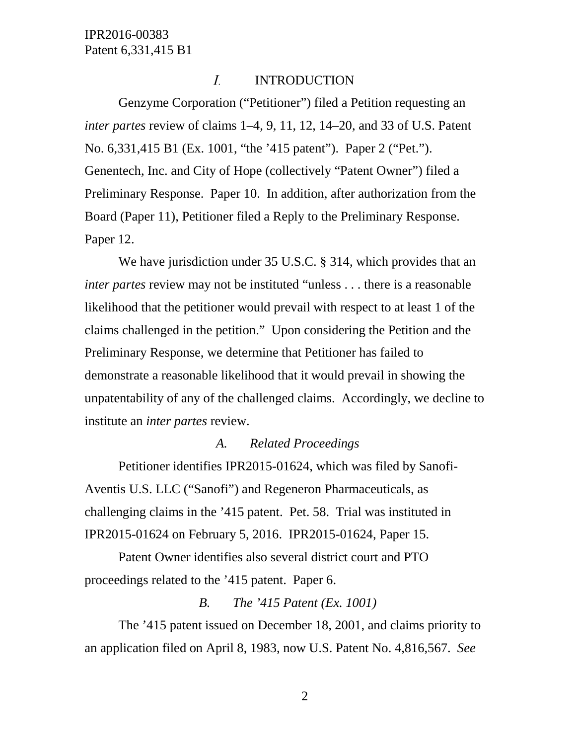#### $I_{\cdot}$ INTRODUCTION

Genzyme Corporation ("Petitioner") filed a Petition requesting an *inter partes* review of claims 1–4, 9, 11, 12, 14–20, and 33 of U.S. Patent No. 6,331,415 B1 (Ex. 1001, "the '415 patent"). Paper 2 ("Pet."). Genentech, Inc. and City of Hope (collectively "Patent Owner") filed a Preliminary Response. Paper 10. In addition, after authorization from the Board (Paper 11), Petitioner filed a Reply to the Preliminary Response. Paper 12.

We have jurisdiction under 35 U.S.C. § 314, which provides that an *inter partes* review may not be instituted "unless . . . there is a reasonable likelihood that the petitioner would prevail with respect to at least 1 of the claims challenged in the petition." Upon considering the Petition and the Preliminary Response, we determine that Petitioner has failed to demonstrate a reasonable likelihood that it would prevail in showing the unpatentability of any of the challenged claims. Accordingly, we decline to institute an *inter partes* review.

### *A. Related Proceedings*

Petitioner identifies IPR2015-01624, which was filed by Sanofi-Aventis U.S. LLC ("Sanofi") and Regeneron Pharmaceuticals, as challenging claims in the '415 patent. Pet. 58. Trial was instituted in IPR2015-01624 on February 5, 2016. IPR2015-01624, Paper 15.

Patent Owner identifies also several district court and PTO proceedings related to the '415 patent. Paper 6.

### *B. The '415 Patent (Ex. 1001)*

The '415 patent issued on December 18, 2001, and claims priority to an application filed on April 8, 1983, now U.S. Patent No. 4,816,567. *See*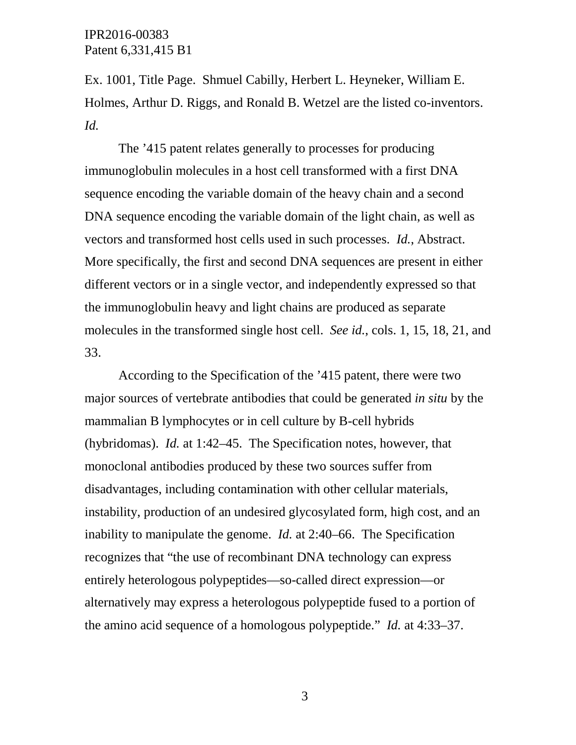Ex. 1001, Title Page. Shmuel Cabilly, Herbert L. Heyneker, William E. Holmes, Arthur D. Riggs, and Ronald B. Wetzel are the listed co-inventors. *Id.*

The '415 patent relates generally to processes for producing immunoglobulin molecules in a host cell transformed with a first DNA sequence encoding the variable domain of the heavy chain and a second DNA sequence encoding the variable domain of the light chain, as well as vectors and transformed host cells used in such processes. *Id.*, Abstract. More specifically, the first and second DNA sequences are present in either different vectors or in a single vector, and independently expressed so that the immunoglobulin heavy and light chains are produced as separate molecules in the transformed single host cell. *See id.*, cols. 1, 15, 18, 21, and 33.

According to the Specification of the '415 patent, there were two major sources of vertebrate antibodies that could be generated *in situ* by the mammalian B lymphocytes or in cell culture by B-cell hybrids (hybridomas). *Id.* at 1:42–45. The Specification notes, however, that monoclonal antibodies produced by these two sources suffer from disadvantages, including contamination with other cellular materials, instability, production of an undesired glycosylated form, high cost, and an inability to manipulate the genome. *Id.* at 2:40–66. The Specification recognizes that "the use of recombinant DNA technology can express entirely heterologous polypeptides—so-called direct expression—or alternatively may express a heterologous polypeptide fused to a portion of the amino acid sequence of a homologous polypeptide." *Id.* at 4:33–37.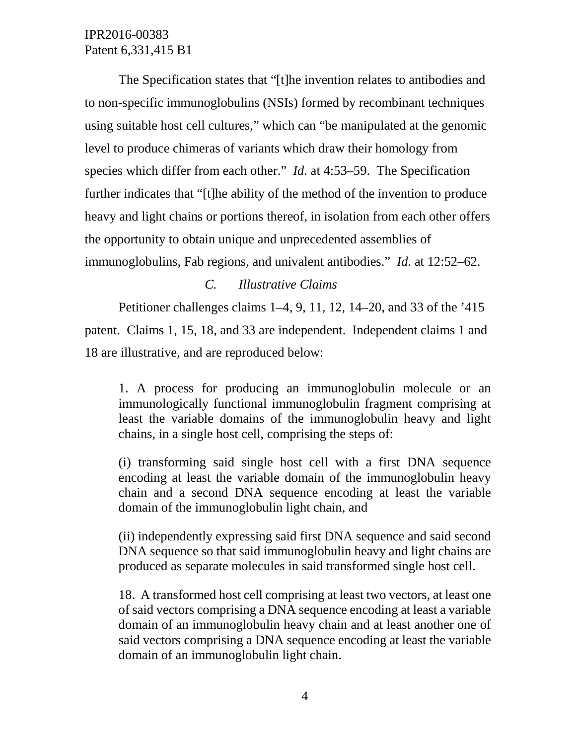The Specification states that "[t]he invention relates to antibodies and to non-specific immunoglobulins (NSIs) formed by recombinant techniques using suitable host cell cultures," which can "be manipulated at the genomic level to produce chimeras of variants which draw their homology from species which differ from each other." *Id.* at 4:53–59. The Specification further indicates that "[t]he ability of the method of the invention to produce heavy and light chains or portions thereof, in isolation from each other offers the opportunity to obtain unique and unprecedented assemblies of immunoglobulins, Fab regions, and univalent antibodies." *Id.* at 12:52–62.

### *C. Illustrative Claims*

Petitioner challenges claims 1–4, 9, 11, 12, 14–20, and 33 of the '415 patent. Claims 1, 15, 18, and 33 are independent. Independent claims 1 and 18 are illustrative, and are reproduced below:

1. A process for producing an immunoglobulin molecule or an immunologically functional immunoglobulin fragment comprising at least the variable domains of the immunoglobulin heavy and light chains, in a single host cell, comprising the steps of:

(i) transforming said single host cell with a first DNA sequence encoding at least the variable domain of the immunoglobulin heavy chain and a second DNA sequence encoding at least the variable domain of the immunoglobulin light chain, and

(ii) independently expressing said first DNA sequence and said second DNA sequence so that said immunoglobulin heavy and light chains are produced as separate molecules in said transformed single host cell.

18. A transformed host cell comprising at least two vectors, at least one of said vectors comprising a DNA sequence encoding at least a variable domain of an immunoglobulin heavy chain and at least another one of said vectors comprising a DNA sequence encoding at least the variable domain of an immunoglobulin light chain.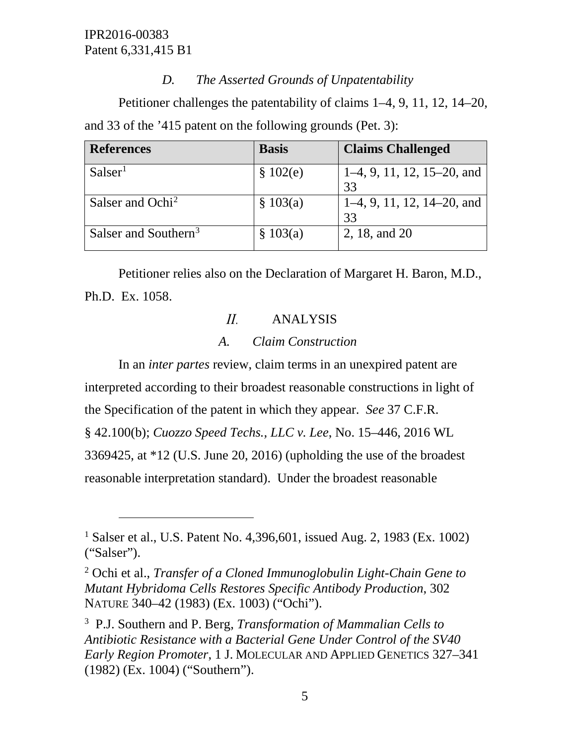$\overline{a}$ 

# *D. The Asserted Grounds of Unpatentability*

Petitioner challenges the patentability of claims 1–4, 9, 11, 12, 14–20, and 33 of the '415 patent on the following grounds (Pet. 3):

| <b>References</b>                | <b>Basis</b> | <b>Claims Challenged</b>           |
|----------------------------------|--------------|------------------------------------|
| Salser <sup>1</sup>              | \$102(e)     | $1-4, 9, 11, 12, 15-20,$ and<br>33 |
| Salser and Ochi <sup>2</sup>     | \$103(a)     | $1-4, 9, 11, 12, 14-20,$ and<br>33 |
| Salser and Southern <sup>3</sup> | \$103(a)     | 2, 18, and 20                      |

Petitioner relies also on the Declaration of Margaret H. Baron, M.D., Ph.D. Ex. 1058.

### $II.$ ANALYSIS

# *A. Claim Construction*

In an *inter partes* review, claim terms in an unexpired patent are interpreted according to their broadest reasonable constructions in light of the Specification of the patent in which they appear. *See* 37 C.F.R. § 42.100(b); *Cuozzo Speed Techs., LLC v. Lee*, No. 15–446, 2016 WL 3369425, at \*12 (U.S. June 20, 2016) (upholding the use of the broadest reasonable interpretation standard). Under the broadest reasonable

<span id="page-4-0"></span><sup>&</sup>lt;sup>1</sup> Salser et al., U.S. Patent No. 4,396,601, issued Aug. 2, 1983 (Ex. 1002) ("Salser").

<span id="page-4-1"></span><sup>2</sup> Ochi et al., *Transfer of a Cloned Immunoglobulin Light-Chain Gene to Mutant Hybridoma Cells Restores Specific Antibody Production*, 302 NATURE 340–42 (1983) (Ex. 1003) ("Ochi").

<span id="page-4-2"></span><sup>3</sup> P.J. Southern and P. Berg, *Transformation of Mammalian Cells to Antibiotic Resistance with a Bacterial Gene Under Control of the SV40 Early Region Promoter*, 1 J. MOLECULAR AND APPLIED GENETICS 327–341 (1982) (Ex. 1004) ("Southern").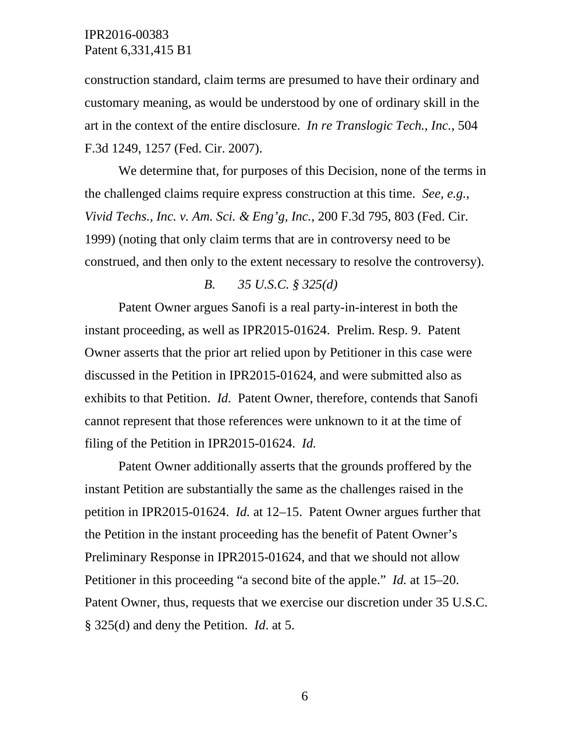construction standard, claim terms are presumed to have their ordinary and customary meaning, as would be understood by one of ordinary skill in the art in the context of the entire disclosure. *In re Translogic Tech., Inc.*, 504 F.3d 1249, 1257 (Fed. Cir. 2007).

We determine that, for purposes of this Decision, none of the terms in the challenged claims require express construction at this time. *See, e.g.*, *Vivid Techs., Inc. v. Am. Sci. & Eng'g, Inc.*, 200 F.3d 795, 803 (Fed. Cir. 1999) (noting that only claim terms that are in controversy need to be construed, and then only to the extent necessary to resolve the controversy).

### *B. 35 U.S.C. § 325(d)*

Patent Owner argues Sanofi is a real party-in-interest in both the instant proceeding, as well as IPR2015-01624. Prelim. Resp. 9. Patent Owner asserts that the prior art relied upon by Petitioner in this case were discussed in the Petition in IPR2015-01624, and were submitted also as exhibits to that Petition. *Id.* Patent Owner, therefore, contends that Sanofi cannot represent that those references were unknown to it at the time of filing of the Petition in IPR2015-01624. *Id.*

Patent Owner additionally asserts that the grounds proffered by the instant Petition are substantially the same as the challenges raised in the petition in IPR2015-01624. *Id.* at 12–15. Patent Owner argues further that the Petition in the instant proceeding has the benefit of Patent Owner's Preliminary Response in IPR2015-01624, and that we should not allow Petitioner in this proceeding "a second bite of the apple." *Id.* at 15–20. Patent Owner, thus, requests that we exercise our discretion under 35 U.S.C. § 325(d) and deny the Petition. *Id*. at 5.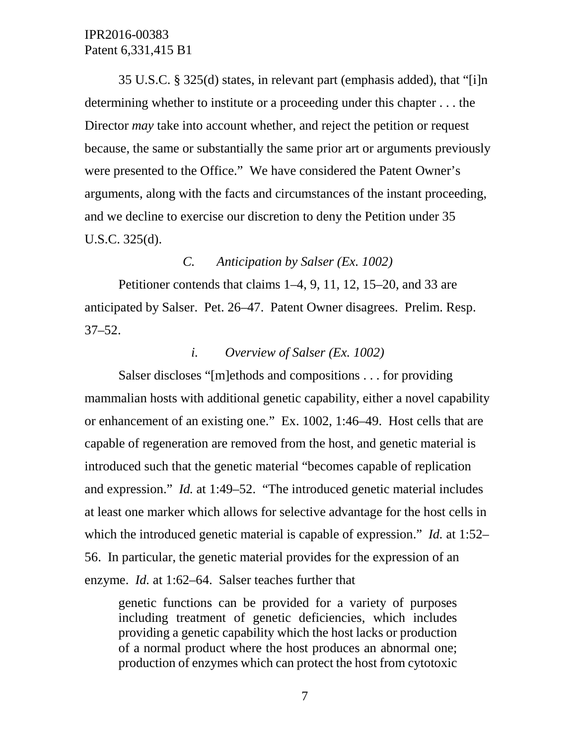35 U.S.C. § 325(d) states, in relevant part (emphasis added), that "[i]n determining whether to institute or a proceeding under this chapter . . . the Director *may* take into account whether, and reject the petition or request because, the same or substantially the same prior art or arguments previously were presented to the Office." We have considered the Patent Owner's arguments, along with the facts and circumstances of the instant proceeding, and we decline to exercise our discretion to deny the Petition under 35 U.S.C. 325(d).

### *C. Anticipation by Salser (Ex. 1002)*

Petitioner contends that claims 1–4, 9, 11, 12, 15–20, and 33 are anticipated by Salser. Pet. 26–47. Patent Owner disagrees. Prelim. Resp. 37–52.

### *i. Overview of Salser (Ex. 1002)*

Salser discloses "[m]ethods and compositions . . . for providing mammalian hosts with additional genetic capability, either a novel capability or enhancement of an existing one." Ex. 1002, 1:46–49. Host cells that are capable of regeneration are removed from the host, and genetic material is introduced such that the genetic material "becomes capable of replication and expression." *Id.* at 1:49–52. "The introduced genetic material includes at least one marker which allows for selective advantage for the host cells in which the introduced genetic material is capable of expression." *Id.* at 1:52– 56. In particular, the genetic material provides for the expression of an enzyme. *Id.* at 1:62–64. Salser teaches further that

genetic functions can be provided for a variety of purposes including treatment of genetic deficiencies, which includes providing a genetic capability which the host lacks or production of a normal product where the host produces an abnormal one; production of enzymes which can protect the host from cytotoxic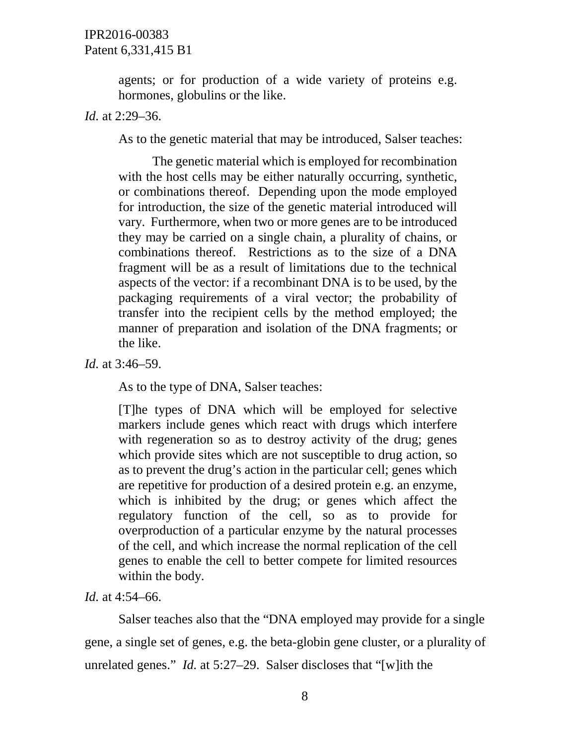agents; or for production of a wide variety of proteins e.g. hormones, globulins or the like.

*Id.* at 2:29–36.

As to the genetic material that may be introduced, Salser teaches:

The genetic material which is employed for recombination with the host cells may be either naturally occurring, synthetic, or combinations thereof. Depending upon the mode employed for introduction, the size of the genetic material introduced will vary. Furthermore, when two or more genes are to be introduced they may be carried on a single chain, a plurality of chains, or combinations thereof. Restrictions as to the size of a DNA fragment will be as a result of limitations due to the technical aspects of the vector: if a recombinant DNA is to be used, by the packaging requirements of a viral vector; the probability of transfer into the recipient cells by the method employed; the manner of preparation and isolation of the DNA fragments; or the like.

*Id.* at 3:46–59.

As to the type of DNA, Salser teaches:

[T]he types of DNA which will be employed for selective markers include genes which react with drugs which interfere with regeneration so as to destroy activity of the drug; genes which provide sites which are not susceptible to drug action, so as to prevent the drug's action in the particular cell; genes which are repetitive for production of a desired protein e.g. an enzyme, which is inhibited by the drug; or genes which affect the regulatory function of the cell, so as to provide for overproduction of a particular enzyme by the natural processes of the cell, and which increase the normal replication of the cell genes to enable the cell to better compete for limited resources within the body.

*Id.* at 4:54–66.

Salser teaches also that the "DNA employed may provide for a single gene, a single set of genes, e.g. the beta-globin gene cluster, or a plurality of unrelated genes." *Id.* at 5:27–29. Salser discloses that "[w]ith the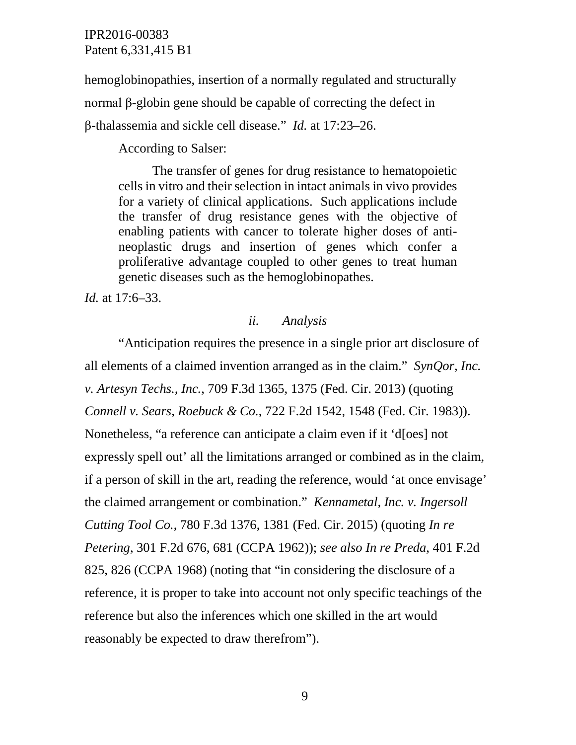hemoglobinopathies, insertion of a normally regulated and structurally normal β-globin gene should be capable of correcting the defect in β-thalassemia and sickle cell disease." *Id.* at 17:23–26.

According to Salser:

The transfer of genes for drug resistance to hematopoietic cells in vitro and their selection in intact animals in vivo provides for a variety of clinical applications. Such applications include the transfer of drug resistance genes with the objective of enabling patients with cancer to tolerate higher doses of antineoplastic drugs and insertion of genes which confer a proliferative advantage coupled to other genes to treat human genetic diseases such as the hemoglobinopathes.

*Id.* at 17:6–33.

### *ii. Analysis*

"Anticipation requires the presence in a single prior art disclosure of all elements of a claimed invention arranged as in the claim." *SynQor, Inc. v. Artesyn Techs., Inc.*, 709 F.3d 1365, 1375 (Fed. Cir. 2013) (quoting *Connell v. Sears, Roebuck & Co.*, 722 F.2d 1542, 1548 (Fed. Cir. 1983)). Nonetheless, "a reference can anticipate a claim even if it 'd[oes] not expressly spell out' all the limitations arranged or combined as in the claim, if a person of skill in the art, reading the reference, would 'at once envisage' the claimed arrangement or combination." *Kennametal, Inc. v. Ingersoll Cutting Tool Co.*, 780 F.3d 1376, 1381 (Fed. Cir. 2015) (quoting *In re Petering*, 301 F.2d 676, 681 (CCPA 1962)); *see also In re Preda*, 401 F.2d 825, 826 (CCPA 1968) (noting that "in considering the disclosure of a reference, it is proper to take into account not only specific teachings of the reference but also the inferences which one skilled in the art would reasonably be expected to draw therefrom").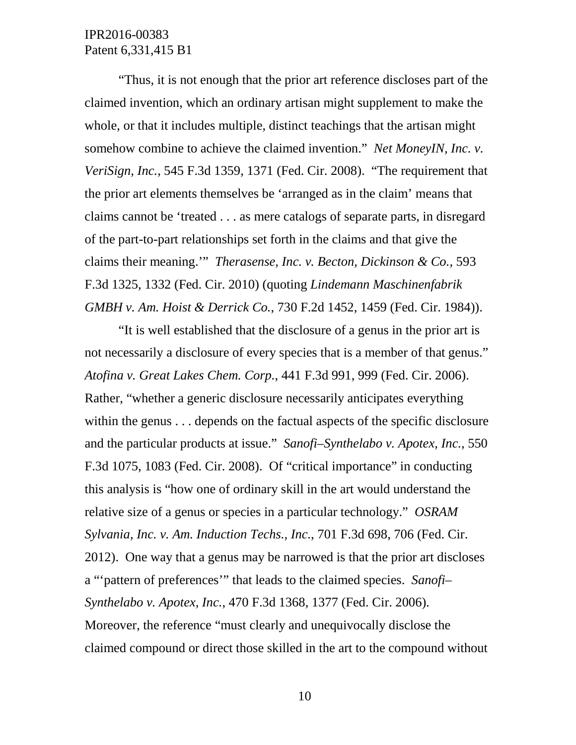"Thus, it is not enough that the prior art reference discloses part of the claimed invention, which an ordinary artisan might supplement to make the whole, or that it includes multiple, distinct teachings that the artisan might somehow combine to achieve the claimed invention." *Net MoneyIN, Inc. v. VeriSign, Inc.*, 545 F.3d 1359, 1371 (Fed. Cir. 2008). "The requirement that the prior art elements themselves be 'arranged as in the claim' means that claims cannot be 'treated . . . as mere catalogs of separate parts, in disregard of the part-to-part relationships set forth in the claims and that give the claims their meaning.'" *Therasense, Inc. v. Becton, Dickinson & Co.*, 593 F.3d 1325, 1332 (Fed. Cir. 2010) (quoting *Lindemann Maschinenfabrik GMBH v. Am. Hoist & Derrick Co.*, 730 F.2d 1452, 1459 (Fed. Cir. 1984)).

"It is well established that the disclosure of a genus in the prior art is not necessarily a disclosure of every species that is a member of that genus." *Atofina v. Great Lakes Chem. Corp.*, 441 F.3d 991, 999 (Fed. Cir. 2006). Rather, "whether a generic disclosure necessarily anticipates everything within the genus . . . depends on the factual aspects of the specific disclosure and the particular products at issue." *Sanofi–Synthelabo v. Apotex, Inc.*, 550 F.3d 1075, 1083 (Fed. Cir. 2008). Of "critical importance" in conducting this analysis is "how one of ordinary skill in the art would understand the relative size of a genus or species in a particular technology." *OSRAM Sylvania, Inc. v. Am. Induction Techs., Inc.*, 701 F.3d 698, 706 (Fed. Cir. 2012). One way that a genus may be narrowed is that the prior art discloses a "'pattern of preferences'" that leads to the claimed species. *Sanofi– Synthelabo v. Apotex, Inc.*, 470 F.3d 1368, 1377 (Fed. Cir. 2006). Moreover, the reference "must clearly and unequivocally disclose the claimed compound or direct those skilled in the art to the compound without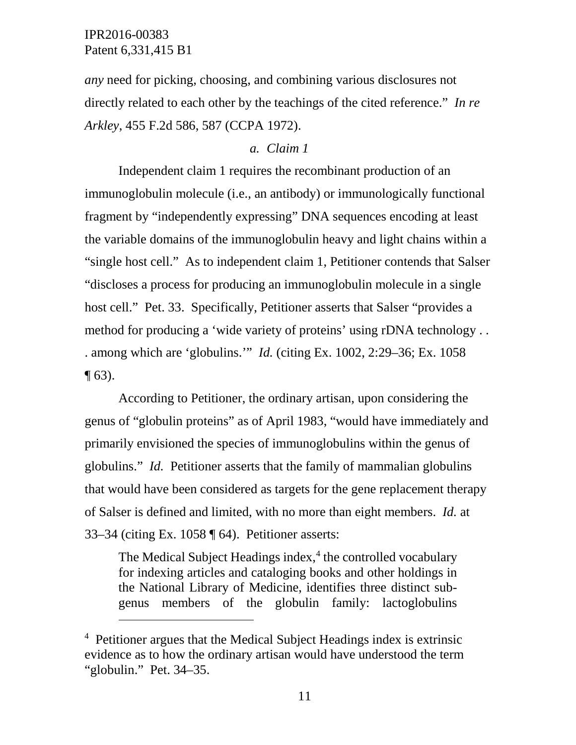$\overline{a}$ 

*any* need for picking, choosing, and combining various disclosures not directly related to each other by the teachings of the cited reference." *In re Arkley*, 455 F.2d 586, 587 (CCPA 1972).

# *a. Claim 1*

Independent claim 1 requires the recombinant production of an immunoglobulin molecule (i.e., an antibody) or immunologically functional fragment by "independently expressing" DNA sequences encoding at least the variable domains of the immunoglobulin heavy and light chains within a "single host cell." As to independent claim 1, Petitioner contends that Salser "discloses a process for producing an immunoglobulin molecule in a single host cell." Pet. 33. Specifically, Petitioner asserts that Salser "provides a method for producing a 'wide variety of proteins' using rDNA technology . . . among which are 'globulins.'" *Id.* (citing Ex. 1002, 2:29–36; Ex. 1058  $\P$  63).

According to Petitioner, the ordinary artisan, upon considering the genus of "globulin proteins" as of April 1983, "would have immediately and primarily envisioned the species of immunoglobulins within the genus of globulins." *Id.* Petitioner asserts that the family of mammalian globulins that would have been considered as targets for the gene replacement therapy of Salser is defined and limited, with no more than eight members. *Id.* at 33–34 (citing Ex. 1058 ¶ 64). Petitioner asserts:

The Medical Subject Headings index, $4$  the controlled vocabulary for indexing articles and cataloging books and other holdings in the National Library of Medicine, identifies three distinct subgenus members of the globulin family: lactoglobulins

<span id="page-10-0"></span><sup>&</sup>lt;sup>4</sup> Petitioner argues that the Medical Subject Headings index is extrinsic evidence as to how the ordinary artisan would have understood the term "globulin." Pet. 34–35.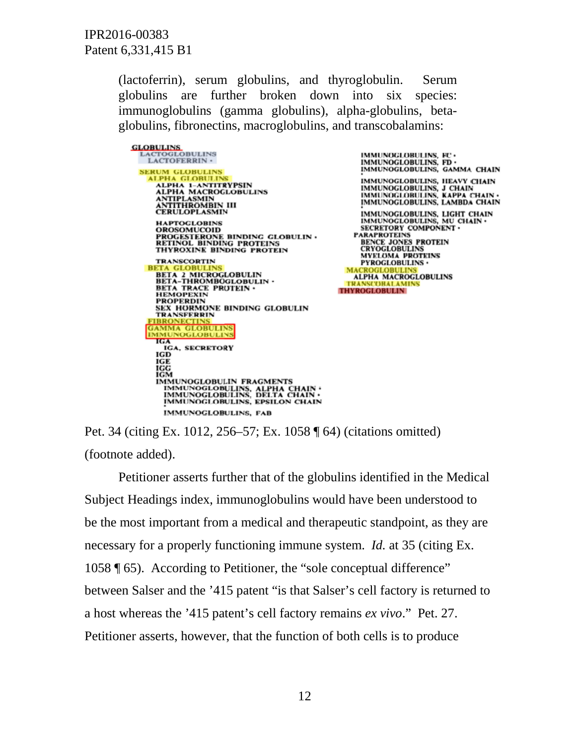> (lactoferrin), serum globulins, and thyroglobulin. Serum globulins are further broken down into six species: immunoglobulins (gamma globulins), alpha-globulins, betaglobulins, fibronectins, macroglobulins, and transcobalamins:

**GLOBULINS**<br>LACTOGLOBULINS LACTOFERRIN · **SERUM GLOBULINS ALPHA GLOBULINS** ALPHA 1-ANTITRYPSIN<br>ALPHA MACROGLOBULINS ANTIPLASMIN<br>ANTITHROMBIN III<br>CERULOPLASMIN **HAPTOGLOBINS OROSOMUCOID** PROGESTERONE BINDING GLOBULIN .<br>RETINOL BINDING PROTEINS THYROXINE BINDING PROTEIN **TRANSCORTIN** BI **BETA 2 MICROGLOBULIN<br>BETA-THROMBOGLOBULIN . BETA TRACE PROTEIN .**<br>HEMOPEXIN **PROPERDIN** SEX HORMONE BINDING GLOBULIN **TRANSFERRIN FIBRONECTI GAMMA GLOBULINS MMUNOGLOBULINS IGA IGA, SECRETORY** IGD **IGG**<br>IGG IGM **IMMUNOGLOBULIN FRAGMENTS** IMMUNOGLOBULINS, ALPHA CHAIN . IMMUNOGLOBULINS, DELTA CHAIN . **IMMUNOGLOBULINS, EPSILON CHAIN IMMUNOGLOBULINS, FAB** 

IMMUNOGLOBULINS, FC . IMMUNOGLOBULINS, FD . IMMUNOGLOBULINS, GAMMA CHAIN IMMUNOGLOBULINS, HEAVY CHAIN IMMUNOGLOBULINS, J CHAIN<br>IMMUNOGLOBULINS, KAPPA CHAIN<br>IMMUNOGLOBULINS, LAMBDA CHAIN IMMUNOGLOBULINS, LIGHT CHAIN<br>IMMUNOGLOBULINS, MU CHAIN · SECRETORY COMPONENT . **PARAPROTEINS** BENCE JONES PROTEIN<br>CRYOGLOBULINS **MYELOMA PROTEINS** PYROGLOBULINS . **ALPHA MACROGLOBULINS** TRANSCOBALAMINS **THYROGLOBULIN** 

Pet. 34 (citing Ex. 1012, 256–57; Ex. 1058 ¶ 64) (citations omitted) (footnote added).

Petitioner asserts further that of the globulins identified in the Medical Subject Headings index, immunoglobulins would have been understood to be the most important from a medical and therapeutic standpoint, as they are necessary for a properly functioning immune system. *Id.* at 35 (citing Ex. 1058 ¶ 65). According to Petitioner, the "sole conceptual difference" between Salser and the '415 patent "is that Salser's cell factory is returned to a host whereas the '415 patent's cell factory remains *ex vivo*." Pet. 27. Petitioner asserts, however, that the function of both cells is to produce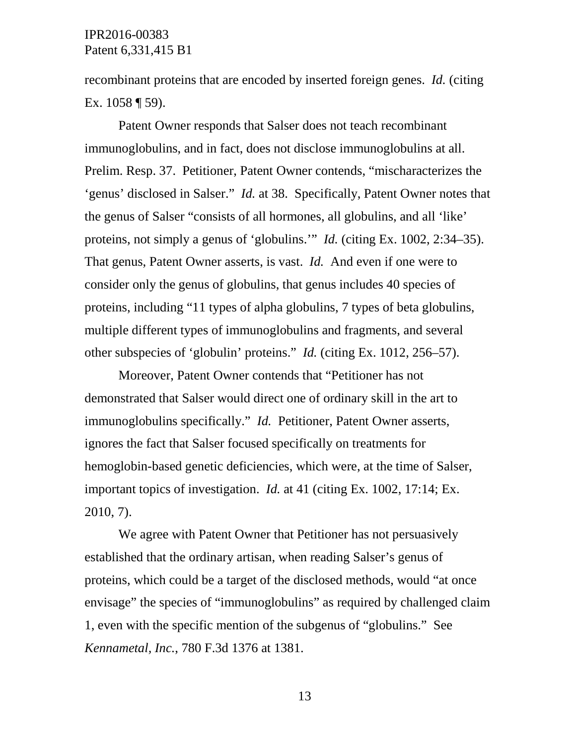recombinant proteins that are encoded by inserted foreign genes. *Id.* (citing Ex. 1058 ¶ 59).

Patent Owner responds that Salser does not teach recombinant immunoglobulins, and in fact, does not disclose immunoglobulins at all. Prelim. Resp. 37. Petitioner, Patent Owner contends, "mischaracterizes the 'genus' disclosed in Salser." *Id.* at 38. Specifically, Patent Owner notes that the genus of Salser "consists of all hormones, all globulins, and all 'like' proteins, not simply a genus of 'globulins.'" *Id.* (citing Ex. 1002, 2:34–35). That genus, Patent Owner asserts, is vast. *Id.* And even if one were to consider only the genus of globulins, that genus includes 40 species of proteins, including "11 types of alpha globulins, 7 types of beta globulins, multiple different types of immunoglobulins and fragments, and several other subspecies of 'globulin' proteins." *Id.* (citing Ex. 1012, 256–57).

Moreover, Patent Owner contends that "Petitioner has not demonstrated that Salser would direct one of ordinary skill in the art to immunoglobulins specifically." *Id.* Petitioner, Patent Owner asserts, ignores the fact that Salser focused specifically on treatments for hemoglobin-based genetic deficiencies, which were, at the time of Salser, important topics of investigation. *Id.* at 41 (citing Ex. 1002, 17:14; Ex. 2010, 7).

We agree with Patent Owner that Petitioner has not persuasively established that the ordinary artisan, when reading Salser's genus of proteins, which could be a target of the disclosed methods, would "at once envisage" the species of "immunoglobulins" as required by challenged claim 1, even with the specific mention of the subgenus of "globulins." See *Kennametal, Inc.*, 780 F.3d 1376 at 1381.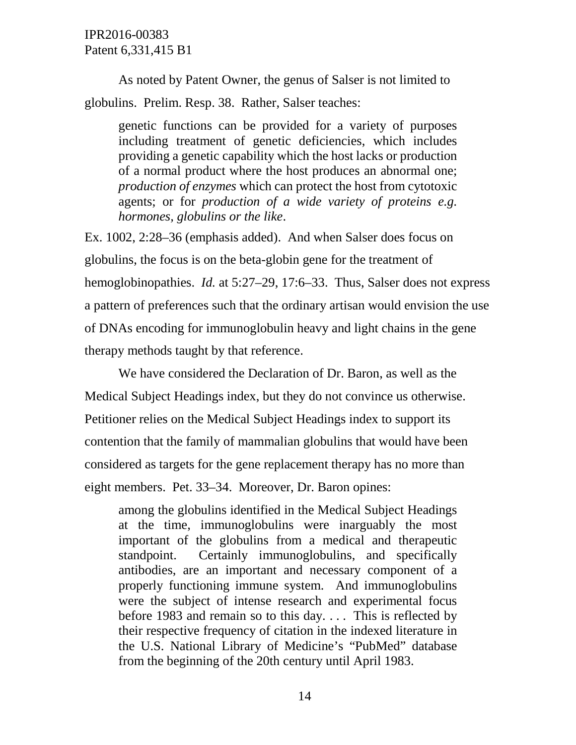As noted by Patent Owner, the genus of Salser is not limited to globulins. Prelim. Resp. 38. Rather, Salser teaches:

genetic functions can be provided for a variety of purposes including treatment of genetic deficiencies, which includes providing a genetic capability which the host lacks or production of a normal product where the host produces an abnormal one; *production of enzymes* which can protect the host from cytotoxic agents; or for *production of a wide variety of proteins e.g. hormones, globulins or the like*.

Ex. 1002, 2:28–36 (emphasis added). And when Salser does focus on globulins, the focus is on the beta-globin gene for the treatment of hemoglobinopathies. *Id.* at 5:27–29, 17:6–33. Thus, Salser does not express a pattern of preferences such that the ordinary artisan would envision the use of DNAs encoding for immunoglobulin heavy and light chains in the gene therapy methods taught by that reference.

We have considered the Declaration of Dr. Baron, as well as the Medical Subject Headings index, but they do not convince us otherwise. Petitioner relies on the Medical Subject Headings index to support its contention that the family of mammalian globulins that would have been considered as targets for the gene replacement therapy has no more than eight members. Pet. 33–34. Moreover, Dr. Baron opines:

among the globulins identified in the Medical Subject Headings at the time, immunoglobulins were inarguably the most important of the globulins from a medical and therapeutic standpoint. Certainly immunoglobulins, and specifically antibodies, are an important and necessary component of a properly functioning immune system. And immunoglobulins were the subject of intense research and experimental focus before 1983 and remain so to this day. . . . This is reflected by their respective frequency of citation in the indexed literature in the U.S. National Library of Medicine's "PubMed" database from the beginning of the 20th century until April 1983.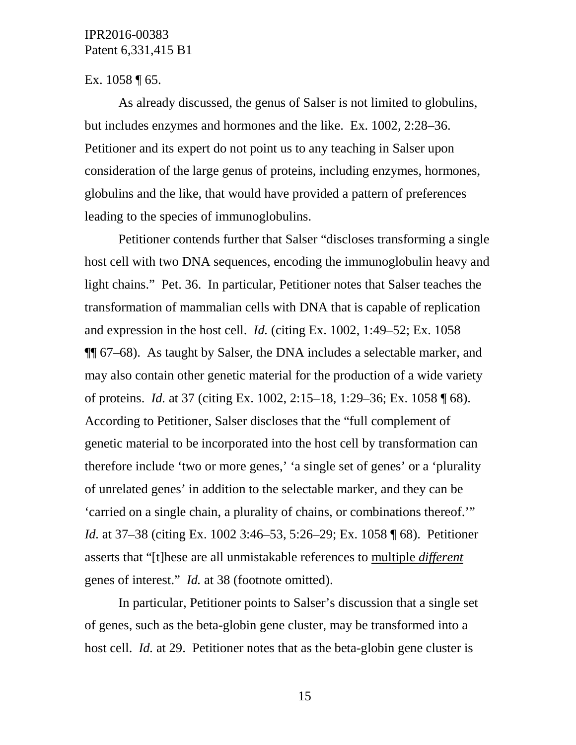### Ex.  $1058 \text{ } \sqrt{\ } 65.$

As already discussed, the genus of Salser is not limited to globulins, but includes enzymes and hormones and the like. Ex. 1002, 2:28–36. Petitioner and its expert do not point us to any teaching in Salser upon consideration of the large genus of proteins, including enzymes, hormones, globulins and the like, that would have provided a pattern of preferences leading to the species of immunoglobulins.

Petitioner contends further that Salser "discloses transforming a single host cell with two DNA sequences, encoding the immunoglobulin heavy and light chains." Pet. 36. In particular, Petitioner notes that Salser teaches the transformation of mammalian cells with DNA that is capable of replication and expression in the host cell. *Id.* (citing Ex. 1002, 1:49–52; Ex. 1058 ¶¶ 67–68). As taught by Salser, the DNA includes a selectable marker, and may also contain other genetic material for the production of a wide variety of proteins. *Id.* at 37 (citing Ex. 1002, 2:15–18, 1:29–36; Ex. 1058 ¶ 68). According to Petitioner, Salser discloses that the "full complement of genetic material to be incorporated into the host cell by transformation can therefore include 'two or more genes,' 'a single set of genes' or a 'plurality of unrelated genes' in addition to the selectable marker, and they can be 'carried on a single chain, a plurality of chains, or combinations thereof.'" *Id.* at 37–38 (citing Ex. 1002 3:46–53, 5:26–29; Ex. 1058 ¶ 68). Petitioner asserts that "[t]hese are all unmistakable references to multiple *different* genes of interest." *Id.* at 38 (footnote omitted).

In particular, Petitioner points to Salser's discussion that a single set of genes, such as the beta-globin gene cluster, may be transformed into a host cell. *Id.* at 29. Petitioner notes that as the beta-globin gene cluster is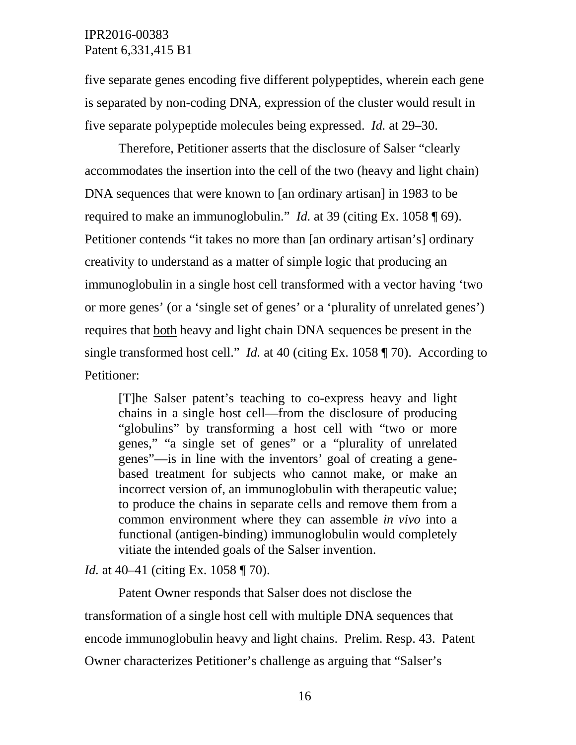five separate genes encoding five different polypeptides, wherein each gene is separated by non-coding DNA, expression of the cluster would result in five separate polypeptide molecules being expressed. *Id.* at 29–30.

Therefore, Petitioner asserts that the disclosure of Salser "clearly accommodates the insertion into the cell of the two (heavy and light chain) DNA sequences that were known to [an ordinary artisan] in 1983 to be required to make an immunoglobulin." *Id.* at 39 (citing Ex. 1058 ¶ 69). Petitioner contends "it takes no more than [an ordinary artisan's] ordinary creativity to understand as a matter of simple logic that producing an immunoglobulin in a single host cell transformed with a vector having 'two or more genes' (or a 'single set of genes' or a 'plurality of unrelated genes') requires that both heavy and light chain DNA sequences be present in the single transformed host cell." *Id.* at 40 (citing Ex. 1058 ¶ 70). According to Petitioner:

[T]he Salser patent's teaching to co-express heavy and light chains in a single host cell—from the disclosure of producing "globulins" by transforming a host cell with "two or more genes," "a single set of genes" or a "plurality of unrelated genes"—is in line with the inventors' goal of creating a genebased treatment for subjects who cannot make, or make an incorrect version of, an immunoglobulin with therapeutic value; to produce the chains in separate cells and remove them from a common environment where they can assemble *in vivo* into a functional (antigen-binding) immunoglobulin would completely vitiate the intended goals of the Salser invention.

*Id.* at 40–41 (citing Ex. 1058 ¶ 70).

Patent Owner responds that Salser does not disclose the transformation of a single host cell with multiple DNA sequences that encode immunoglobulin heavy and light chains. Prelim. Resp. 43. Patent Owner characterizes Petitioner's challenge as arguing that "Salser's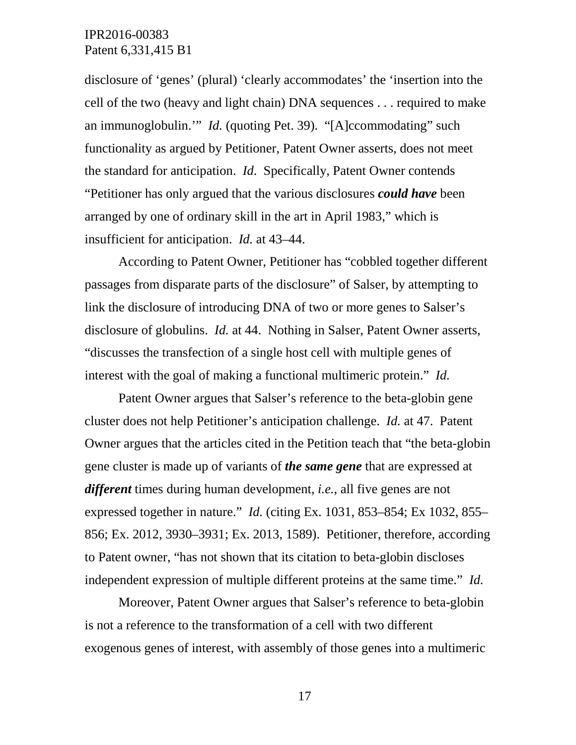disclosure of 'genes' (plural) 'clearly accommodates' the 'insertion into the cell of the two (heavy and light chain) DNA sequences . . . required to make an immunoglobulin.'" *Id.* (quoting Pet. 39). "[A]ccommodating" such functionality as argued by Petitioner, Patent Owner asserts, does not meet the standard for anticipation. *Id*. Specifically, Patent Owner contends "Petitioner has only argued that the various disclosures *could have* been arranged by one of ordinary skill in the art in April 1983," which is insufficient for anticipation. *Id.* at 43–44.

According to Patent Owner, Petitioner has "cobbled together different passages from disparate parts of the disclosure" of Salser, by attempting to link the disclosure of introducing DNA of two or more genes to Salser's disclosure of globulins. *Id.* at 44. Nothing in Salser, Patent Owner asserts, "discusses the transfection of a single host cell with multiple genes of interest with the goal of making a functional multimeric protein." *Id.*

Patent Owner argues that Salser's reference to the beta-globin gene cluster does not help Petitioner's anticipation challenge. *Id.* at 47. Patent Owner argues that the articles cited in the Petition teach that "the beta-globin gene cluster is made up of variants of *the same gene* that are expressed at *different* times during human development, *i.e.*, all five genes are not expressed together in nature." *Id.* (citing Ex. 1031, 853–854; Ex 1032, 855– 856; Ex. 2012, 3930–3931; Ex. 2013, 1589). Petitioner, therefore, according to Patent owner, "has not shown that its citation to beta-globin discloses independent expression of multiple different proteins at the same time." *Id.*

Moreover, Patent Owner argues that Salser's reference to beta-globin is not a reference to the transformation of a cell with two different exogenous genes of interest, with assembly of those genes into a multimeric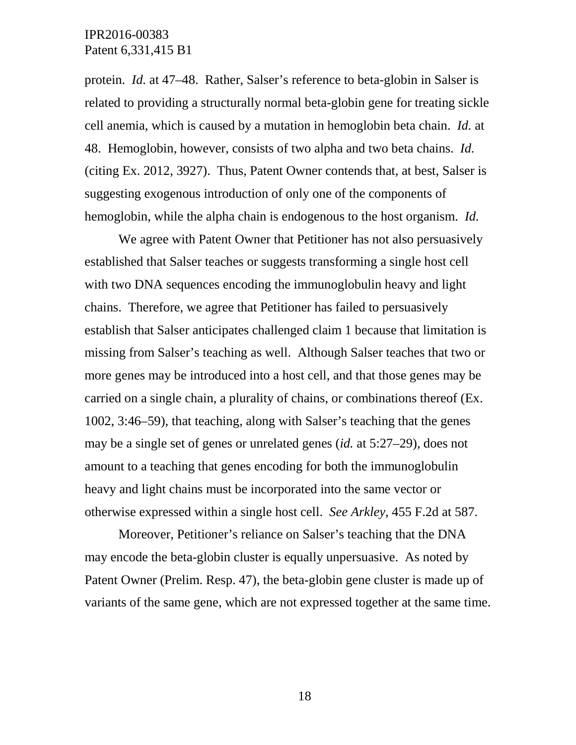protein. *Id.* at 47–48. Rather, Salser's reference to beta-globin in Salser is related to providing a structurally normal beta-globin gene for treating sickle cell anemia, which is caused by a mutation in hemoglobin beta chain. *Id.* at 48. Hemoglobin, however, consists of two alpha and two beta chains. *Id.* (citing Ex. 2012, 3927). Thus, Patent Owner contends that, at best, Salser is suggesting exogenous introduction of only one of the components of hemoglobin, while the alpha chain is endogenous to the host organism. *Id.*

We agree with Patent Owner that Petitioner has not also persuasively established that Salser teaches or suggests transforming a single host cell with two DNA sequences encoding the immunoglobulin heavy and light chains. Therefore, we agree that Petitioner has failed to persuasively establish that Salser anticipates challenged claim 1 because that limitation is missing from Salser's teaching as well. Although Salser teaches that two or more genes may be introduced into a host cell, and that those genes may be carried on a single chain, a plurality of chains, or combinations thereof (Ex. 1002, 3:46–59), that teaching, along with Salser's teaching that the genes may be a single set of genes or unrelated genes (*id.* at 5:27–29), does not amount to a teaching that genes encoding for both the immunoglobulin heavy and light chains must be incorporated into the same vector or otherwise expressed within a single host cell. *See Arkley*, 455 F.2d at 587.

Moreover, Petitioner's reliance on Salser's teaching that the DNA may encode the beta-globin cluster is equally unpersuasive. As noted by Patent Owner (Prelim. Resp. 47), the beta-globin gene cluster is made up of variants of the same gene, which are not expressed together at the same time.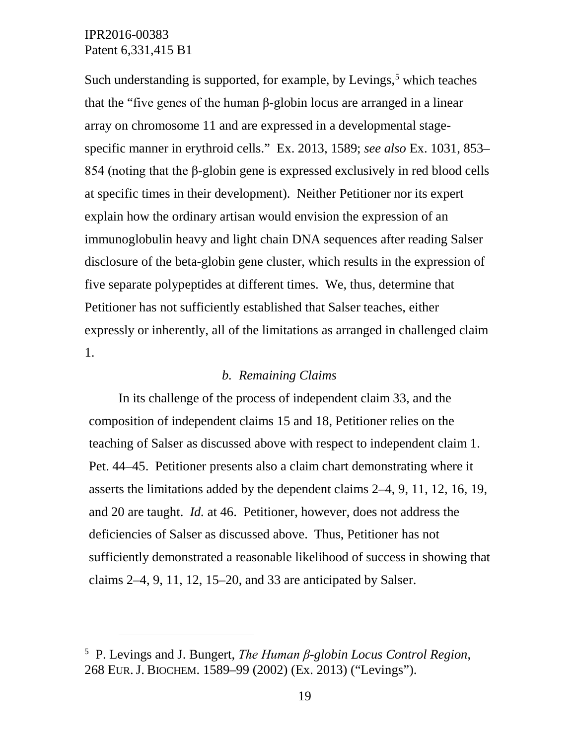$\overline{a}$ 

Such understanding is supported, for example, by Levings, $5$  which teaches that the "five genes of the human β-globin locus are arranged in a linear array on chromosome 11 and are expressed in a developmental stagespecific manner in erythroid cells." Ex. 2013, 1589; *see also* Ex. 1031, 853– 854 (noting that the β-globin gene is expressed exclusively in red blood cells at specific times in their development). Neither Petitioner nor its expert explain how the ordinary artisan would envision the expression of an immunoglobulin heavy and light chain DNA sequences after reading Salser disclosure of the beta-globin gene cluster, which results in the expression of five separate polypeptides at different times. We, thus, determine that Petitioner has not sufficiently established that Salser teaches, either expressly or inherently, all of the limitations as arranged in challenged claim 1.

# *b. Remaining Claims*

In its challenge of the process of independent claim 33, and the composition of independent claims 15 and 18, Petitioner relies on the teaching of Salser as discussed above with respect to independent claim 1. Pet. 44–45. Petitioner presents also a claim chart demonstrating where it asserts the limitations added by the dependent claims 2–4, 9, 11, 12, 16, 19, and 20 are taught. *Id.* at 46. Petitioner, however, does not address the deficiencies of Salser as discussed above. Thus, Petitioner has not sufficiently demonstrated a reasonable likelihood of success in showing that claims 2–4, 9, 11, 12, 15–20, and 33 are anticipated by Salser.

<span id="page-18-0"></span><sup>5</sup> P. Levings and J. Bungert, *The Human β-globin Locus Control Region*, 268 EUR.J. BIOCHEM. 1589–99 (2002) (Ex. 2013) ("Levings").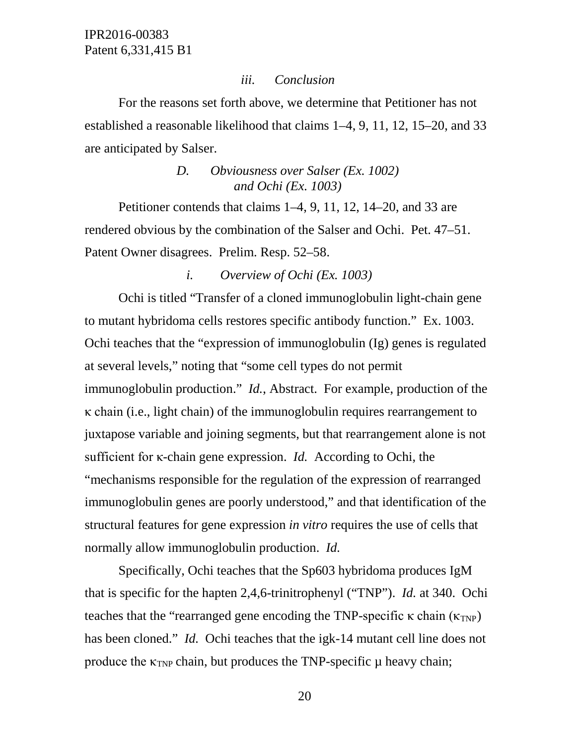### *iii. Conclusion*

For the reasons set forth above, we determine that Petitioner has not established a reasonable likelihood that claims 1–4, 9, 11, 12, 15–20, and 33 are anticipated by Salser.

# *D. Obviousness over Salser (Ex. 1002) and Ochi (Ex. 1003)*

Petitioner contends that claims 1–4, 9, 11, 12, 14–20, and 33 are rendered obvious by the combination of the Salser and Ochi. Pet. 47–51. Patent Owner disagrees. Prelim. Resp. 52–58.

### *i. Overview of Ochi (Ex. 1003)*

Ochi is titled "Transfer of a cloned immunoglobulin light-chain gene to mutant hybridoma cells restores specific antibody function." Ex. 1003. Ochi teaches that the "expression of immunoglobulin (Ig) genes is regulated at several levels," noting that "some cell types do not permit immunoglobulin production." *Id.*, Abstract. For example, production of the κ chain (i.e., light chain) of the immunoglobulin requires rearrangement to juxtapose variable and joining segments, but that rearrangement alone is not sufficient for κ-chain gene expression. *Id.* According to Ochi, the "mechanisms responsible for the regulation of the expression of rearranged immunoglobulin genes are poorly understood," and that identification of the structural features for gene expression *in vitro* requires the use of cells that normally allow immunoglobulin production. *Id.*

Specifically, Ochi teaches that the Sp603 hybridoma produces IgM that is specific for the hapten 2,4,6-trinitrophenyl ("TNP"). *Id.* at 340. Ochi teaches that the "rearranged gene encoding the TNP-specific  $\kappa$  chain ( $\kappa_{TNP}$ ) has been cloned." *Id.* Ochi teaches that the igk-14 mutant cell line does not produce the  $\kappa_{TNP}$  chain, but produces the TNP-specific  $\mu$  heavy chain;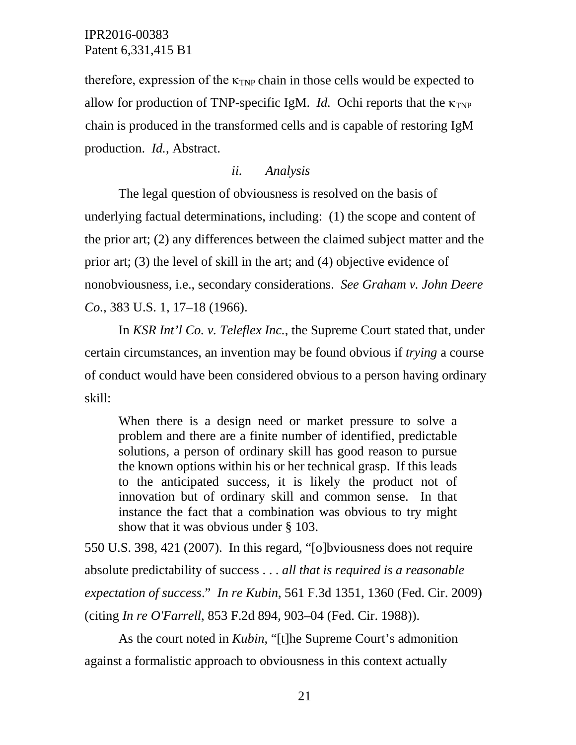therefore, expression of the  $\kappa_{TNP}$  chain in those cells would be expected to allow for production of TNP-specific IgM. *Id.* Ochi reports that the  $\kappa_{TNP}$ chain is produced in the transformed cells and is capable of restoring IgM production. *Id.*, Abstract.

### *ii. Analysis*

The legal question of obviousness is resolved on the basis of underlying factual determinations, including: (1) the scope and content of the prior art; (2) any differences between the claimed subject matter and the prior art; (3) the level of skill in the art; and (4) objective evidence of nonobviousness, i.e., secondary considerations. *See Graham v. John Deere Co.*, 383 U.S. 1, 17–18 (1966).

In *KSR Int'l Co. v. Teleflex Inc.*, the Supreme Court stated that, under certain circumstances, an invention may be found obvious if *trying* a course of conduct would have been considered obvious to a person having ordinary skill:

When there is a design need or market pressure to solve a problem and there are a finite number of identified, predictable solutions, a person of ordinary skill has good reason to pursue the known options within his or her technical grasp. If this leads to the anticipated success, it is likely the product not of innovation but of ordinary skill and common sense. In that instance the fact that a combination was obvious to try might show that it was obvious under § 103.

550 U.S. 398, 421 (2007). In this regard, "[o]bviousness does not require absolute predictability of success . . . *all that is required is a reasonable expectation of success*." *In re Kubin*, 561 F.3d 1351, 1360 (Fed. Cir. 2009) (citing *In re O'Farrell*, 853 F.2d 894, 903–04 (Fed. Cir. 1988)).

As the court noted in *Kubin*, "[t]he Supreme Court's admonition against a formalistic approach to obviousness in this context actually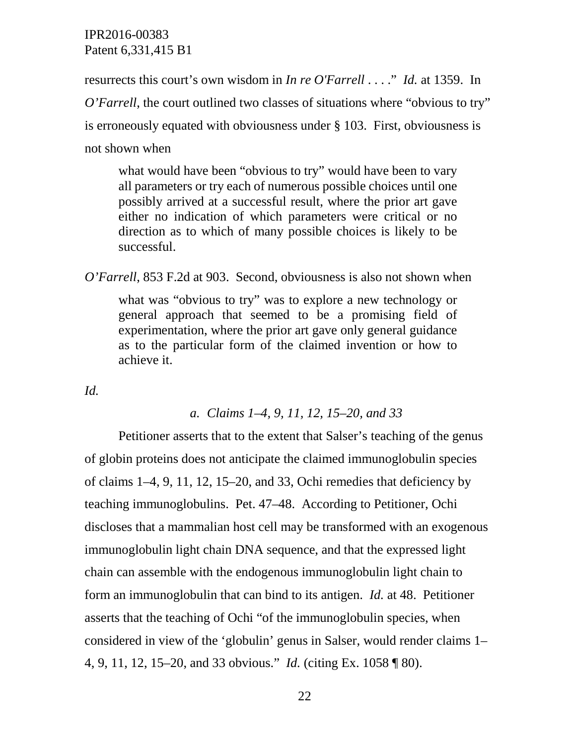resurrects this court's own wisdom in *In re O'Farrell* . . . ." *Id.* at 1359. In

*O'Farrell*, the court outlined two classes of situations where "obvious to try" is erroneously equated with obviousness under § 103. First, obviousness is not shown when

what would have been "obvious to try" would have been to vary all parameters or try each of numerous possible choices until one possibly arrived at a successful result, where the prior art gave either no indication of which parameters were critical or no direction as to which of many possible choices is likely to be successful.

*O'Farrell*, 853 F.2d at 903. Second, obviousness is also not shown when

what was "obvious to try" was to explore a new technology or general approach that seemed to be a promising field of experimentation, where the prior art gave only general guidance as to the particular form of the claimed invention or how to achieve it.

*Id.*

### *a. Claims 1–4, 9, 11, 12, 15–20, and 33*

Petitioner asserts that to the extent that Salser's teaching of the genus of globin proteins does not anticipate the claimed immunoglobulin species of claims 1–4, 9, 11, 12, 15–20, and 33, Ochi remedies that deficiency by teaching immunoglobulins. Pet. 47–48. According to Petitioner, Ochi discloses that a mammalian host cell may be transformed with an exogenous immunoglobulin light chain DNA sequence, and that the expressed light chain can assemble with the endogenous immunoglobulin light chain to form an immunoglobulin that can bind to its antigen. *Id.* at 48. Petitioner asserts that the teaching of Ochi "of the immunoglobulin species, when considered in view of the 'globulin' genus in Salser, would render claims 1– 4, 9, 11, 12, 15–20, and 33 obvious." *Id.* (citing Ex. 1058 ¶ 80).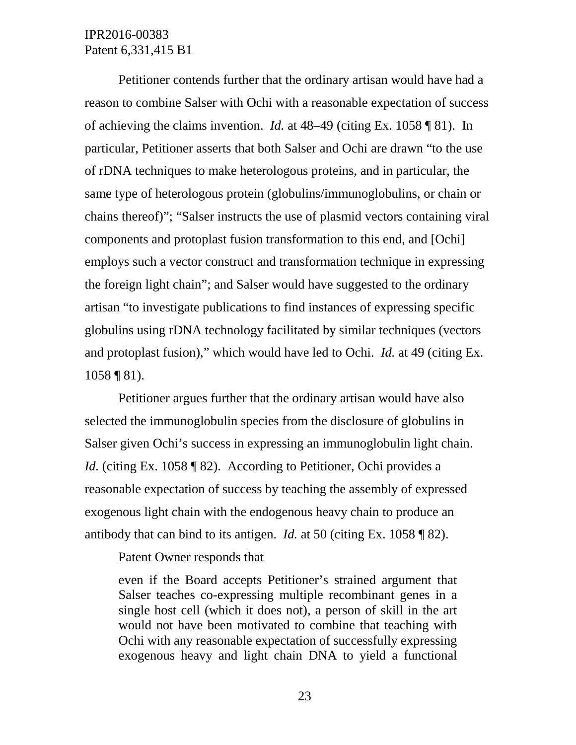Petitioner contends further that the ordinary artisan would have had a reason to combine Salser with Ochi with a reasonable expectation of success of achieving the claims invention. *Id.* at 48–49 (citing Ex. 1058 ¶ 81). In particular, Petitioner asserts that both Salser and Ochi are drawn "to the use of rDNA techniques to make heterologous proteins, and in particular, the same type of heterologous protein (globulins/immunoglobulins, or chain or chains thereof)"; "Salser instructs the use of plasmid vectors containing viral components and protoplast fusion transformation to this end, and [Ochi] employs such a vector construct and transformation technique in expressing the foreign light chain"; and Salser would have suggested to the ordinary artisan "to investigate publications to find instances of expressing specific globulins using rDNA technology facilitated by similar techniques (vectors and protoplast fusion)," which would have led to Ochi. *Id.* at 49 (citing Ex. 1058 ¶ 81).

Petitioner argues further that the ordinary artisan would have also selected the immunoglobulin species from the disclosure of globulins in Salser given Ochi's success in expressing an immunoglobulin light chain. *Id.* (citing Ex. 1058 ¶ 82). According to Petitioner, Ochi provides a reasonable expectation of success by teaching the assembly of expressed exogenous light chain with the endogenous heavy chain to produce an antibody that can bind to its antigen. *Id.* at 50 (citing Ex. 1058 ¶ 82).

Patent Owner responds that

even if the Board accepts Petitioner's strained argument that Salser teaches co-expressing multiple recombinant genes in a single host cell (which it does not), a person of skill in the art would not have been motivated to combine that teaching with Ochi with any reasonable expectation of successfully expressing exogenous heavy and light chain DNA to yield a functional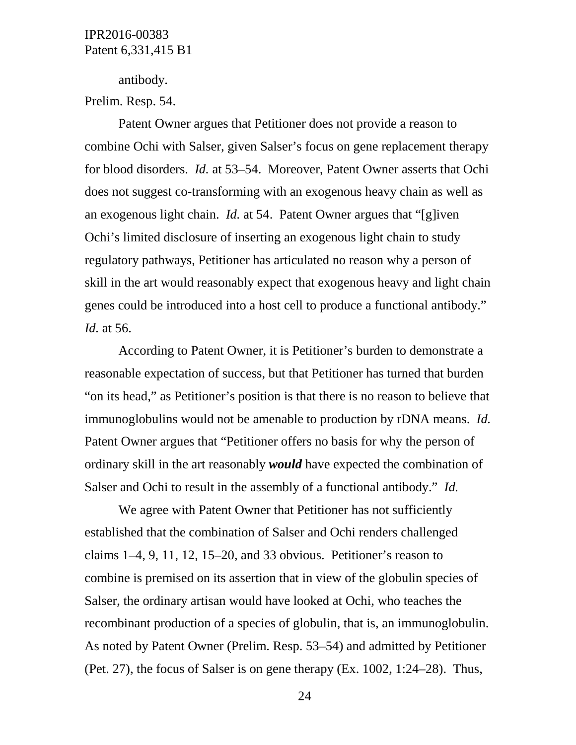antibody.

Prelim. Resp. 54.

Patent Owner argues that Petitioner does not provide a reason to combine Ochi with Salser, given Salser's focus on gene replacement therapy for blood disorders. *Id.* at 53–54. Moreover, Patent Owner asserts that Ochi does not suggest co-transforming with an exogenous heavy chain as well as an exogenous light chain. *Id.* at 54. Patent Owner argues that "[g]iven Ochi's limited disclosure of inserting an exogenous light chain to study regulatory pathways, Petitioner has articulated no reason why a person of skill in the art would reasonably expect that exogenous heavy and light chain genes could be introduced into a host cell to produce a functional antibody." *Id.* at 56.

According to Patent Owner, it is Petitioner's burden to demonstrate a reasonable expectation of success, but that Petitioner has turned that burden "on its head," as Petitioner's position is that there is no reason to believe that immunoglobulins would not be amenable to production by rDNA means. *Id.* Patent Owner argues that "Petitioner offers no basis for why the person of ordinary skill in the art reasonably *would* have expected the combination of Salser and Ochi to result in the assembly of a functional antibody." *Id.*

We agree with Patent Owner that Petitioner has not sufficiently established that the combination of Salser and Ochi renders challenged claims 1–4, 9, 11, 12, 15–20, and 33 obvious. Petitioner's reason to combine is premised on its assertion that in view of the globulin species of Salser, the ordinary artisan would have looked at Ochi, who teaches the recombinant production of a species of globulin, that is, an immunoglobulin. As noted by Patent Owner (Prelim. Resp. 53–54) and admitted by Petitioner (Pet. 27), the focus of Salser is on gene therapy (Ex. 1002, 1:24–28). Thus,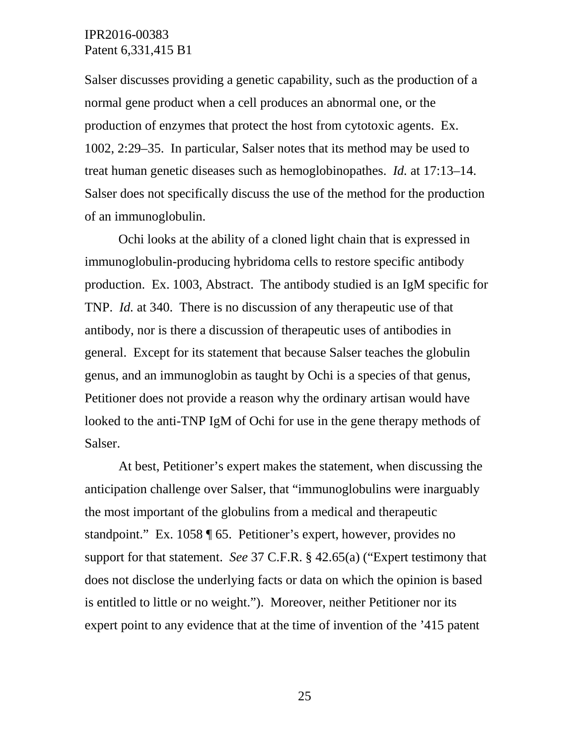Salser discusses providing a genetic capability, such as the production of a normal gene product when a cell produces an abnormal one, or the production of enzymes that protect the host from cytotoxic agents. Ex. 1002, 2:29–35. In particular, Salser notes that its method may be used to treat human genetic diseases such as hemoglobinopathes. *Id.* at 17:13–14. Salser does not specifically discuss the use of the method for the production of an immunoglobulin.

Ochi looks at the ability of a cloned light chain that is expressed in immunoglobulin-producing hybridoma cells to restore specific antibody production. Ex. 1003, Abstract. The antibody studied is an IgM specific for TNP. *Id.* at 340. There is no discussion of any therapeutic use of that antibody, nor is there a discussion of therapeutic uses of antibodies in general. Except for its statement that because Salser teaches the globulin genus, and an immunoglobin as taught by Ochi is a species of that genus, Petitioner does not provide a reason why the ordinary artisan would have looked to the anti-TNP IgM of Ochi for use in the gene therapy methods of Salser.

At best, Petitioner's expert makes the statement, when discussing the anticipation challenge over Salser, that "immunoglobulins were inarguably the most important of the globulins from a medical and therapeutic standpoint." Ex. 1058 ¶ 65. Petitioner's expert, however, provides no support for that statement. *See* 37 C.F.R. § 42.65(a) ("Expert testimony that does not disclose the underlying facts or data on which the opinion is based is entitled to little or no weight."). Moreover, neither Petitioner nor its expert point to any evidence that at the time of invention of the '415 patent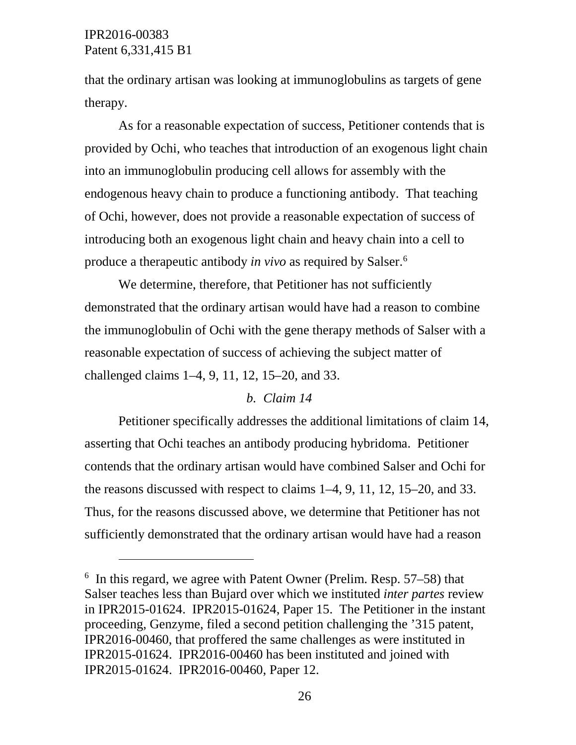$\overline{a}$ 

that the ordinary artisan was looking at immunoglobulins as targets of gene therapy.

As for a reasonable expectation of success, Petitioner contends that is provided by Ochi, who teaches that introduction of an exogenous light chain into an immunoglobulin producing cell allows for assembly with the endogenous heavy chain to produce a functioning antibody. That teaching of Ochi, however, does not provide a reasonable expectation of success of introducing both an exogenous light chain and heavy chain into a cell to produce a therapeutic antibody *in vivo* as required by Salser.[6](#page-25-0)

We determine, therefore, that Petitioner has not sufficiently demonstrated that the ordinary artisan would have had a reason to combine the immunoglobulin of Ochi with the gene therapy methods of Salser with a reasonable expectation of success of achieving the subject matter of challenged claims 1–4, 9, 11, 12, 15–20, and 33.

### *b. Claim 14*

Petitioner specifically addresses the additional limitations of claim 14, asserting that Ochi teaches an antibody producing hybridoma. Petitioner contends that the ordinary artisan would have combined Salser and Ochi for the reasons discussed with respect to claims 1–4, 9, 11, 12, 15–20, and 33. Thus, for the reasons discussed above, we determine that Petitioner has not sufficiently demonstrated that the ordinary artisan would have had a reason

<span id="page-25-0"></span> $6$  In this regard, we agree with Patent Owner (Prelim. Resp. 57–58) that Salser teaches less than Bujard over which we instituted *inter partes* review in IPR2015-01624. IPR2015-01624, Paper 15. The Petitioner in the instant proceeding, Genzyme, filed a second petition challenging the '315 patent, IPR2016-00460, that proffered the same challenges as were instituted in IPR2015-01624. IPR2016-00460 has been instituted and joined with IPR2015-01624. IPR2016-00460, Paper 12.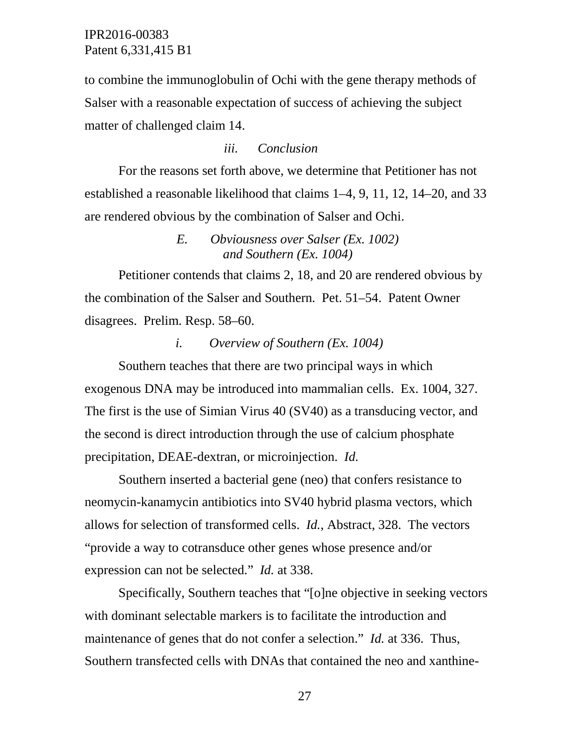to combine the immunoglobulin of Ochi with the gene therapy methods of Salser with a reasonable expectation of success of achieving the subject matter of challenged claim 14.

### *iii. Conclusion*

For the reasons set forth above, we determine that Petitioner has not established a reasonable likelihood that claims 1–4, 9, 11, 12, 14–20, and 33 are rendered obvious by the combination of Salser and Ochi.

# *E. Obviousness over Salser (Ex. 1002) and Southern (Ex. 1004)*

Petitioner contends that claims 2, 18, and 20 are rendered obvious by the combination of the Salser and Southern. Pet. 51–54. Patent Owner disagrees. Prelim. Resp. 58–60.

### *i. Overview of Southern (Ex. 1004)*

Southern teaches that there are two principal ways in which exogenous DNA may be introduced into mammalian cells. Ex. 1004, 327. The first is the use of Simian Virus 40 (SV40) as a transducing vector, and the second is direct introduction through the use of calcium phosphate precipitation, DEAE-dextran, or microinjection. *Id.*

Southern inserted a bacterial gene (neo) that confers resistance to neomycin-kanamycin antibiotics into SV40 hybrid plasma vectors, which allows for selection of transformed cells. *Id.*, Abstract, 328. The vectors "provide a way to cotransduce other genes whose presence and/or expression can not be selected." *Id.* at 338.

Specifically, Southern teaches that "[o]ne objective in seeking vectors with dominant selectable markers is to facilitate the introduction and maintenance of genes that do not confer a selection." *Id.* at 336. Thus, Southern transfected cells with DNAs that contained the neo and xanthine-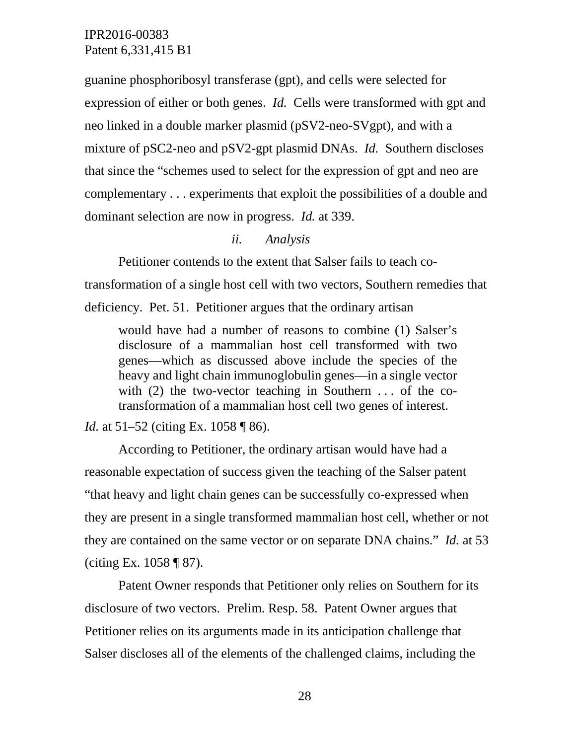guanine phosphoribosyl transferase (gpt), and cells were selected for expression of either or both genes. *Id.* Cells were transformed with gpt and neo linked in a double marker plasmid (pSV2-neo-SVgpt), and with a mixture of pSC2-neo and pSV2-gpt plasmid DNAs. *Id.* Southern discloses that since the "schemes used to select for the expression of gpt and neo are complementary . . . experiments that exploit the possibilities of a double and dominant selection are now in progress. *Id.* at 339.

# *ii. Analysis*

Petitioner contends to the extent that Salser fails to teach cotransformation of a single host cell with two vectors, Southern remedies that deficiency. Pet. 51. Petitioner argues that the ordinary artisan

would have had a number of reasons to combine (1) Salser's disclosure of a mammalian host cell transformed with two genes—which as discussed above include the species of the heavy and light chain immunoglobulin genes—in a single vector with  $(2)$  the two-vector teaching in Southern ... of the cotransformation of a mammalian host cell two genes of interest.

### *Id.* at 51–52 (citing Ex. 1058 ¶ 86).

According to Petitioner, the ordinary artisan would have had a reasonable expectation of success given the teaching of the Salser patent "that heavy and light chain genes can be successfully co-expressed when they are present in a single transformed mammalian host cell, whether or not they are contained on the same vector or on separate DNA chains." *Id.* at 53 (citing Ex. 1058 ¶ 87).

Patent Owner responds that Petitioner only relies on Southern for its disclosure of two vectors. Prelim. Resp. 58. Patent Owner argues that Petitioner relies on its arguments made in its anticipation challenge that Salser discloses all of the elements of the challenged claims, including the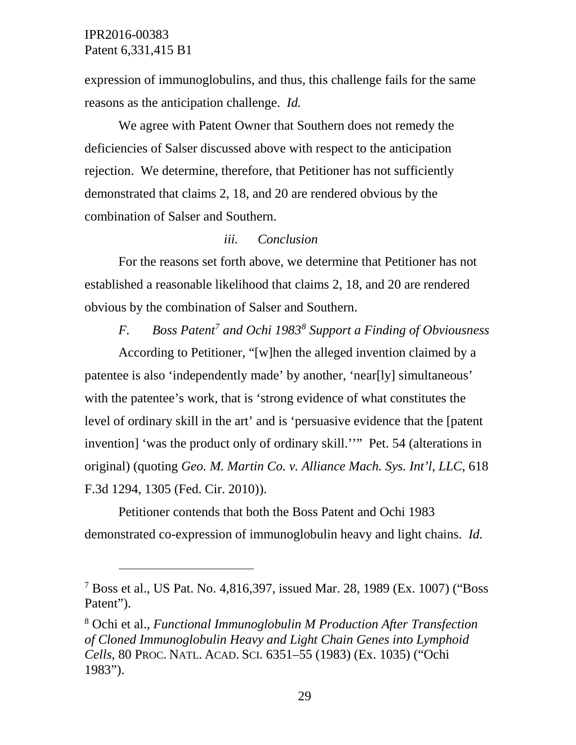$\overline{a}$ 

expression of immunoglobulins, and thus, this challenge fails for the same reasons as the anticipation challenge. *Id.*

We agree with Patent Owner that Southern does not remedy the deficiencies of Salser discussed above with respect to the anticipation rejection. We determine, therefore, that Petitioner has not sufficiently demonstrated that claims 2, 18, and 20 are rendered obvious by the combination of Salser and Southern.

### *iii. Conclusion*

For the reasons set forth above, we determine that Petitioner has not established a reasonable likelihood that claims 2, 18, and 20 are rendered obvious by the combination of Salser and Southern.

# *F. Boss Patent[7](#page-28-0) and Ochi 1983[8](#page-28-1) Support a Finding of Obviousness*

According to Petitioner, "[w]hen the alleged invention claimed by a patentee is also 'independently made' by another, 'near[ly] simultaneous' with the patentee's work, that is 'strong evidence of what constitutes the level of ordinary skill in the art' and is 'persuasive evidence that the [patent invention] 'was the product only of ordinary skill.''" Pet. 54 (alterations in original) (quoting *Geo. M. Martin Co. v. Alliance Mach. Sys. Int'l, LLC*, 618 F.3d 1294, 1305 (Fed. Cir. 2010)).

Petitioner contends that both the Boss Patent and Ochi 1983 demonstrated co-expression of immunoglobulin heavy and light chains. *Id.*

<span id="page-28-1"></span><sup>8</sup> Ochi et al., *Functional Immunoglobulin M Production After Transfection of Cloned Immunoglobulin Heavy and Light Chain Genes into Lymphoid Cells*, 80 PROC. NATL. ACAD. SCI. 6351–55 (1983) (Ex. 1035) ("Ochi 1983").

<span id="page-28-0"></span><sup>7</sup> Boss et al., US Pat. No. 4,816,397, issued Mar. 28, 1989 (Ex. 1007) ("Boss Patent").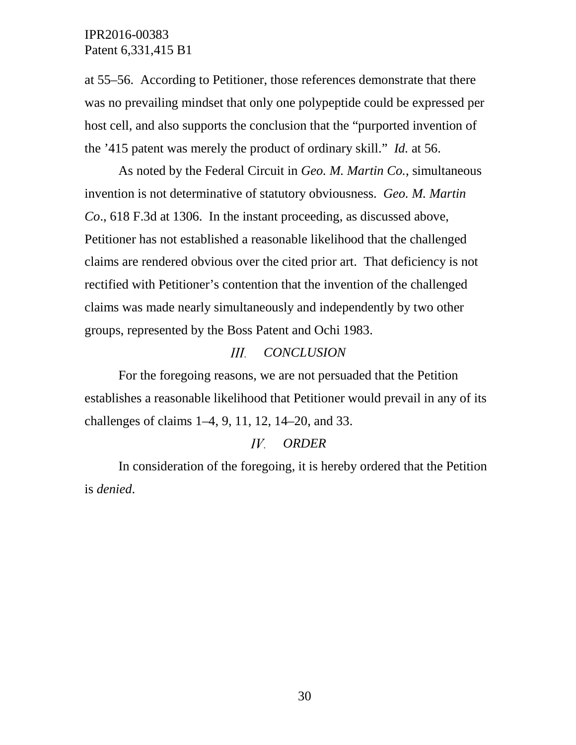at 55–56. According to Petitioner, those references demonstrate that there was no prevailing mindset that only one polypeptide could be expressed per host cell, and also supports the conclusion that the "purported invention of the '415 patent was merely the product of ordinary skill." *Id.* at 56.

As noted by the Federal Circuit in *Geo. M. Martin Co.*, simultaneous invention is not determinative of statutory obviousness. *Geo. M. Martin Co*., 618 F.3d at 1306. In the instant proceeding, as discussed above, Petitioner has not established a reasonable likelihood that the challenged claims are rendered obvious over the cited prior art. That deficiency is not rectified with Petitioner's contention that the invention of the challenged claims was made nearly simultaneously and independently by two other groups, represented by the Boss Patent and Ochi 1983.

#### $III.$ *CONCLUSION*

For the foregoing reasons, we are not persuaded that the Petition establishes a reasonable likelihood that Petitioner would prevail in any of its challenges of claims 1–4, 9, 11, 12, 14–20, and 33.

#### $IV.$ *ORDER*

In consideration of the foregoing, it is hereby ordered that the Petition is *denied*.